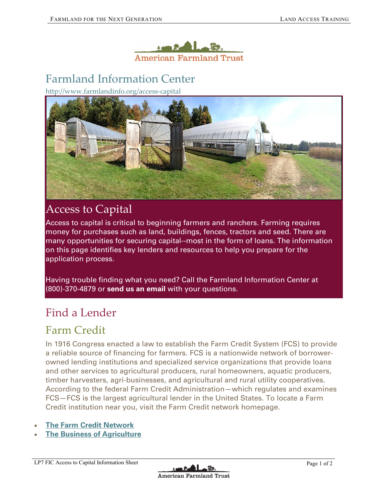

# [Farmland Information Center](http://www.farmlandinfo.org/)

http://www.farmlandinfo.org/access-capital



## Access to Capital

Access to capital is critical to beginning farmers and ranchers. Farming requires money for purchases such as land, buildings, fences, tractors and seed. There are many opportunities for securing capital--most in the form of loans. The information on this page identifies key lenders and resources to help you prepare for the application process.

Having trouble finding what you need? Call the Farmland Information Center at (800)-370-4879 or **[send us an email](http://www.farmlandinfo.org/webform/ask-expert)** with your questions.

#### Find a Lender

#### Farm Credit

In 1916 Congress enacted a law to establish the Farm Credit System (FCS) to provide a reliable source of financing for farmers. FCS is a nationwide network of borrowerowned lending institutions and specialized service organizations that provide loans and other services to agricultural producers, rural homeowners, aquatic producers, timber harvesters, agri-businesses, and agricultural and rural utility cooperatives. According to the federal Farm Credit Administration—which regulates and examines FCS—FCS is the largest agricultural lender in the United States. To locate a Farm Credit institution near you, visit the Farm Credit network homepage.

- **[The Farm Credit Network](http://www.farmcreditnetwork.com/)**
- **[The Business of Agriculture](http://www.farmcreditnetwork.com/newsroom/the-aggregator/topics/business-of-agriculture)**